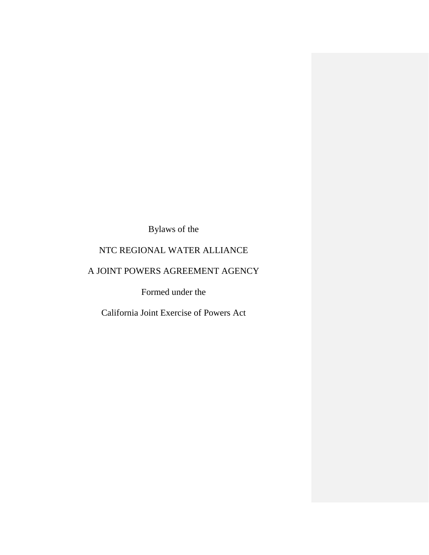Bylaws of the

# NTC REGIONAL WATER ALLIANCE

# A JOINT POWERS AGREEMENT AGENCY

Formed under the

California Joint Exercise of Powers Act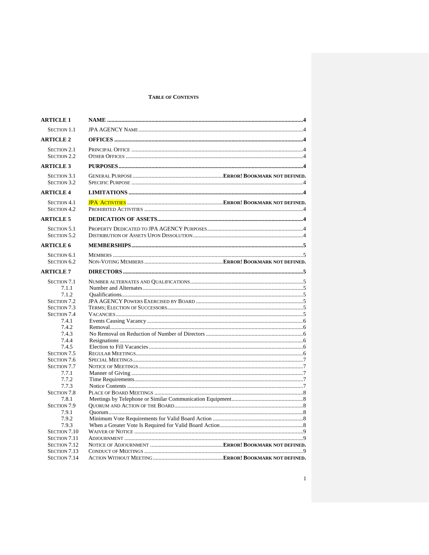# **TABLE OF CONTENTS**

| <b>ARTICLE 1</b>                                                 |  |
|------------------------------------------------------------------|--|
| <b>SECTION 1.1</b>                                               |  |
| <b>ARTICLE 2</b>                                                 |  |
| <b>SECTION 2.1</b><br><b>SECTION 2.2</b>                         |  |
| <b>ARTICLE 3</b>                                                 |  |
| <b>SECTION 3.1</b><br><b>SECTION 3.2</b>                         |  |
| <b>ARTICLE 4</b>                                                 |  |
| <b>SECTION 4.1</b><br><b>SECTION 4.2</b>                         |  |
| <b>ARTICLE 5</b>                                                 |  |
| <b>SECTION 5.1</b><br><b>SECTION 5.2</b>                         |  |
| <b>ARTICLE 6</b>                                                 |  |
| <b>SECTION 6.1</b><br><b>SECTION 6.2</b>                         |  |
| <b>ARTICLE 7</b>                                                 |  |
| <b>SECTION 7.1</b><br>7.1.1<br>7.1.2<br><b>SECTION 7.2</b>       |  |
| <b>SECTION 7.3</b><br><b>SECTION 7.4</b>                         |  |
| 7.4.1<br>7.4.2<br>7.4.3                                          |  |
| 7.4.4                                                            |  |
| 7.4.5<br>SECTION 7.5<br><b>SECTION 7.6</b><br><b>SECTION 7.7</b> |  |
| 7.7.1                                                            |  |
| 7.7.2<br>7.7.3<br><b>SECTION 7.8</b>                             |  |
| 7.8.1<br><b>SECTION 7.9</b>                                      |  |
| 7.9.1<br>7.9.2<br>7.9.3                                          |  |
| SECTION 7.10<br><b>SECTION 7.11</b>                              |  |
| SECTION 7.12<br>SECTION 7.13<br><b>SECTION 7.14</b>              |  |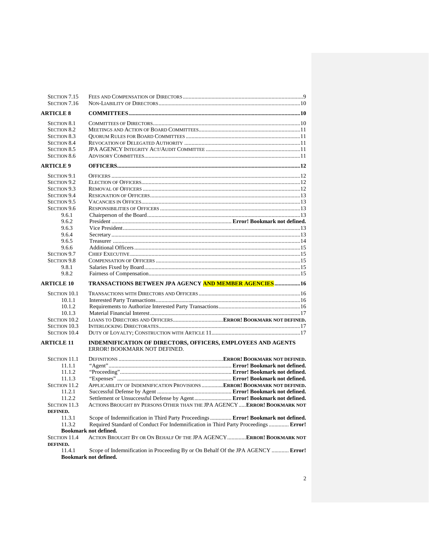| SECTION 7.15<br>SECTION 7.16             |                                                                                              |  |
|------------------------------------------|----------------------------------------------------------------------------------------------|--|
| <b>ARTICLE 8</b>                         |                                                                                              |  |
|                                          |                                                                                              |  |
| <b>SECTION 8.1</b><br><b>SECTION 8.2</b> |                                                                                              |  |
|                                          |                                                                                              |  |
| <b>SECTION 8.3</b>                       |                                                                                              |  |
| <b>SECTION 8.4</b>                       |                                                                                              |  |
| <b>SECTION 8.5</b>                       |                                                                                              |  |
| <b>SECTION 8.6</b>                       |                                                                                              |  |
| <b>ARTICLE 9</b>                         |                                                                                              |  |
| <b>SECTION 9.1</b>                       |                                                                                              |  |
| <b>SECTION 9.2</b>                       |                                                                                              |  |
| <b>SECTION 9.3</b>                       |                                                                                              |  |
| <b>SECTION 9.4</b>                       |                                                                                              |  |
| SECTION 9.5                              |                                                                                              |  |
| SECTION 9.6                              |                                                                                              |  |
| 9.6.1                                    |                                                                                              |  |
| 9.6.2                                    |                                                                                              |  |
| 9.6.3                                    |                                                                                              |  |
| 9.6.4                                    |                                                                                              |  |
| 9.6.5                                    |                                                                                              |  |
| 9.6.6                                    |                                                                                              |  |
| SECTION 9.7                              |                                                                                              |  |
| <b>SECTION 9.8</b>                       |                                                                                              |  |
| 9.8.1                                    |                                                                                              |  |
| 9.8.2                                    |                                                                                              |  |
| <b>ARTICLE 10</b>                        | TRANSACTIONS BETWEEN JPA AGENCY AND MEMBER AGENCIES16                                        |  |
|                                          |                                                                                              |  |
| <b>SECTION 10.1</b>                      |                                                                                              |  |
| 10.1.1                                   |                                                                                              |  |
| 10.1.2                                   |                                                                                              |  |
| 10.1.3                                   |                                                                                              |  |
| <b>SECTION 10.2</b>                      |                                                                                              |  |
| <b>SECTION 10.3</b>                      |                                                                                              |  |
| <b>SECTION 10.4</b>                      |                                                                                              |  |
| <b>ARTICLE 11</b>                        | INDEMNIFICATION OF DIRECTORS, OFFICERS, EMPLOYEES AND AGENTS<br>ERROR! BOOKMARK NOT DEFINED. |  |
| <b>SECTION 11.1</b>                      |                                                                                              |  |
| 11.1.1                                   |                                                                                              |  |
| 11.1.2                                   |                                                                                              |  |
| 11.1.3                                   |                                                                                              |  |
| <b>SECTION 11.2</b>                      | APPLICABILITY OF INDEMNIFICATION PROVISIONS  ERROR! BOOKMARK NOT DEFINED.                    |  |
| 11.2.1                                   |                                                                                              |  |
| 11.2.2                                   | Settlement or Unsuccessful Defense by Agent  Error! Bookmark not defined.                    |  |
| SECTION 11.3                             | ACTIONS BROUGHT BY PERSONS OTHER THAN THE JPA AGENCY  ERROR! BOOKMARK NOT                    |  |
| DEFINED.                                 |                                                                                              |  |
| 11.3.1                                   | Scope of Indemnification in Third Party Proceedings Error! Bookmark not defined.             |  |
| 11.3.2                                   | Required Standard of Conduct For Indemnification in Third Party Proceedings  Error!          |  |
|                                          | <b>Bookmark not defined.</b>                                                                 |  |
| <b>SECTION 11.4</b>                      | ACTION BROUGHT BY OR ON BEHALF OF THE JPA AGENCY ERROR! BOOKMARK NOT                         |  |
| DEFINED.                                 |                                                                                              |  |
| 11.4.1                                   | Scope of Indemnification in Proceeding By or On Behalf Of the JPA AGENCY  Error!             |  |
|                                          |                                                                                              |  |

**Bookmark not defined.**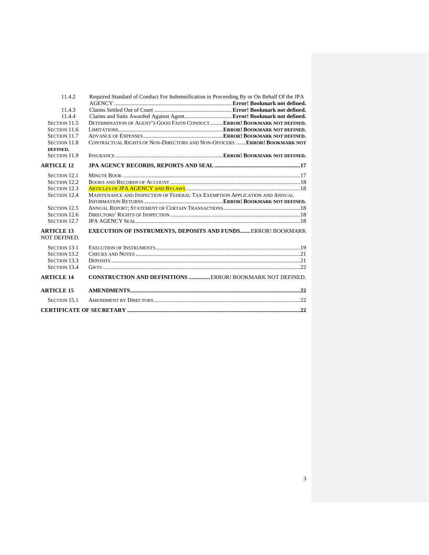| 11.4.2                            | Required Standard of Conduct For Indemnification in Proceeding By or On Behalf Of the JPA |  |  |
|-----------------------------------|-------------------------------------------------------------------------------------------|--|--|
| 11.4.3                            |                                                                                           |  |  |
| 11.4.4                            | Claims and Suits Awarded Against Agent Error! Bookmark not defined.                       |  |  |
| SECTION 11.5                      | DETERMINATION OF AGENT'S GOOD FAITH CONDUCT  ERROR! BOOKMARK NOT DEFINED.                 |  |  |
| SECTION 11.6                      |                                                                                           |  |  |
| SECTION 11.7                      |                                                                                           |  |  |
| <b>SECTION 11.8</b>               | CONTRACTUAL RIGHTS OF NON-DIRECTORS AND NON-OFFICERS ERROR! BOOKMARK NOT                  |  |  |
| DEFINED.                          |                                                                                           |  |  |
| <b>SECTION 11.9</b>               |                                                                                           |  |  |
| <b>ARTICLE 12</b>                 |                                                                                           |  |  |
| <b>SECTION 12.1</b>               |                                                                                           |  |  |
| <b>SECTION 12.2</b>               |                                                                                           |  |  |
| <b>SECTION 12.3</b>               |                                                                                           |  |  |
| <b>SECTION 12.4</b>               | MAINTENANCE AND INSPECTION OF FEDERAL TAX EXEMPTION APPLICATION AND ANNUAL                |  |  |
|                                   |                                                                                           |  |  |
| <b>SECTION 12.5</b>               |                                                                                           |  |  |
| SECTION 12.6                      |                                                                                           |  |  |
| <b>SECTION 12.7</b>               |                                                                                           |  |  |
| <b>ARTICLE 13</b><br>NOT DEFINED. | <b>EXECUTION OF INSTRUMENTS, DEPOSITS AND FUNDS ERROR! BOOKMARK</b>                       |  |  |
| <b>SECTION 13.1</b>               |                                                                                           |  |  |
| <b>SECTION 13.2</b>               |                                                                                           |  |  |
| <b>SECTION 13.3</b>               |                                                                                           |  |  |
| <b>SECTION 13.4</b>               |                                                                                           |  |  |
| <b>ARTICLE 14</b>                 | CONSTRUCTION AND DEFINITIONS ERROR! BOOKMARK NOT DEFINED.                                 |  |  |
| <b>ARTICLE 15</b>                 |                                                                                           |  |  |
| <b>SECTION 15.1</b>               |                                                                                           |  |  |
|                                   |                                                                                           |  |  |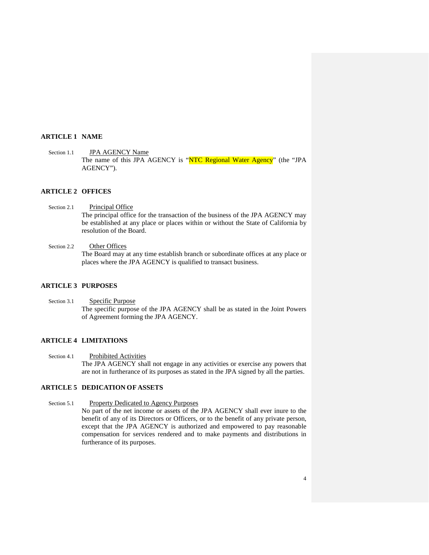### <span id="page-4-0"></span>**ARTICLE 1 NAME**

<span id="page-4-1"></span>Section 1.1 **JPA AGENCY Name** The name of this JPA AGENCY is "NTC Regional Water Agency" (the "JPA AGENCY").

## <span id="page-4-2"></span>**ARTICLE 2 OFFICES**

<span id="page-4-3"></span>Section 2.1 Principal Office The principal office for the transaction of the business of the JPA AGENCY may be established at any place or places within or without the State of California by resolution of the Board.

# <span id="page-4-4"></span>Section 2.2 Other Offices

The Board may at any time establish branch or subordinate offices at any place or places where the JPA AGENCY is qualified to transact business.

# <span id="page-4-5"></span>**ARTICLE 3 PURPOSES**

<span id="page-4-6"></span>Section 3.1 Specific Purpose The specific purpose of the JPA AGENCY shall be as stated in the Joint Powers of Agreement forming the JPA AGENCY.

## <span id="page-4-7"></span>**ARTICLE 4 LIMITATIONS**

<span id="page-4-8"></span>Section 4.1 Prohibited Activities The JPA AGENCY shall not engage in any activities or exercise any powers that are not in furtherance of its purposes as stated in the JPA signed by all the parties.

# <span id="page-4-9"></span>**ARTICLE 5 DEDICATION OF ASSETS**

<span id="page-4-10"></span>Section 5.1 Property Dedicated to Agency Purposes No part of the net income or assets of the JPA AGENCY shall ever inure to the benefit of any of its Directors or Officers, or to the benefit of any private person, except that the JPA AGENCY is authorized and empowered to pay reasonable compensation for services rendered and to make payments and distributions in furtherance of its purposes.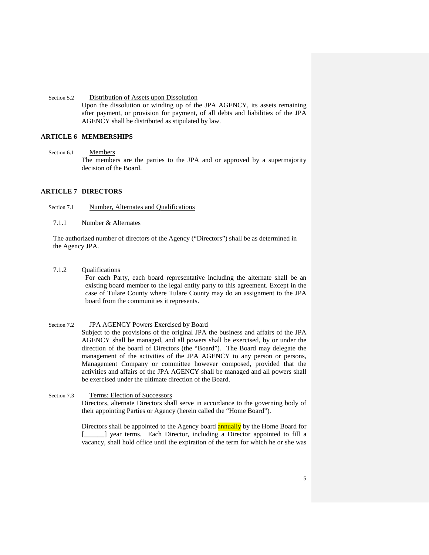<span id="page-5-0"></span>Section 5.2 Distribution of Assets upon Dissolution Upon the dissolution or winding up of the JPA AGENCY, its assets remaining after payment, or provision for payment, of all debts and liabilities of the JPA AGENCY shall be distributed as stipulated by law.

# <span id="page-5-1"></span>**ARTICLE 6 MEMBERSHIPS**

<span id="page-5-2"></span>Section 6.1 Members

The members are the parties to the JPA and or approved by a supermajority decision of the Board.

# <span id="page-5-3"></span>**ARTICLE 7 DIRECTORS**

<span id="page-5-4"></span>Section 7.1 **Number, Alternates and Qualifications** 

<span id="page-5-5"></span>7.1.1 Number & Alternates

The authorized number of directors of the Agency ("Directors") shall be as determined in the Agency JPA.

<span id="page-5-6"></span>7.1.2 Qualifications

For each Party, each board representative including the alternate shall be an existing board member to the legal entity party to this agreement. Except in the case of Tulare County where Tulare County may do an assignment to the JPA board from the communities it represents.

<span id="page-5-7"></span>Section 7.2 **JPA AGENCY Powers Exercised by Board** 

Subject to the provisions of the original JPA the business and affairs of the JPA AGENCY shall be managed, and all powers shall be exercised, by or under the direction of the board of Directors (the "Board"). The Board may delegate the management of the activities of the JPA AGENCY to any person or persons, Management Company or committee however composed, provided that the activities and affairs of the JPA AGENCY shall be managed and all powers shall be exercised under the ultimate direction of the Board.

<span id="page-5-8"></span>Section 7.3 Terms; Election of Successors Directors, alternate Directors shall serve in accordance to the governing body of their appointing Parties or Agency (herein called the "Home Board").

> Directors shall be appointed to the Agency board **annually** by the Home Board for [\_\_\_\_\_] year terms. Each Director, including a Director appointed to fill a vacancy, shall hold office until the expiration of the term for which he or she was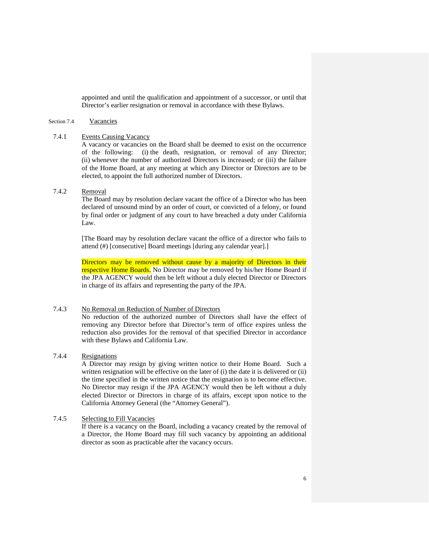appointed and until the qualification and appointment of a successor, or until that Director's earlier resignation or removal in accordance with these Bylaws.

#### <span id="page-6-0"></span>Section 7.4 Vacancies

#### <span id="page-6-1"></span>7.4.1 Events Causing Vacancy

A vacancy or vacancies on the Board shall be deemed to exist on the occurrence of the following: (i) the death, resignation, or removal of any Director; (ii) whenever the number of authorized Directors is increased; or (iii) the failure of the Home Board, at any meeting at which any Director or Directors are to be elected, to appoint the full authorized number of Directors.

# <span id="page-6-2"></span>7.4.2 Removal

The Board may by resolution declare vacant the office of a Director who has been declared of unsound mind by an order of court, or convicted of a felony, or found by final order or judgment of any court to have breached a duty under California Law.

[The Board may by resolution declare vacant the office of a director who fails to attend (#) [consecutive] Board meetings [during any calendar year].]

Directors may be removed without cause by a majority of Directors in their respective Home Boards. No Director may be removed by his/her Home Board if the JPA AGENCY would then be left without a duly elected Director or Directors in charge of its affairs and representing the party of the JPA.

#### <span id="page-6-3"></span>7.4.3 No Removal on Reduction of Number of Directors

No reduction of the authorized number of Directors shall have the effect of removing any Director before that Director's term of office expires unless the reduction also provides for the removal of that specified Director in accordance with these Bylaws and California Law.

# <span id="page-6-4"></span>7.4.4 Resignations

A Director may resign by giving written notice to their Home Board. Such a written resignation will be effective on the later of (i) the date it is delivered or (ii) the time specified in the written notice that the resignation is to become effective. No Director may resign if the JPA AGENCY would then be left without a duly elected Director or Directors in charge of its affairs, except upon notice to the California Attorney General (the "Attorney General").

# <span id="page-6-5"></span>7.4.5 Selecting to Fill Vacancies

If there is a vacancy on the Board, including a vacancy created by the removal of a Director, the Home Board may fill such vacancy by appointing an additional director as soon as practicable after the vacancy occurs.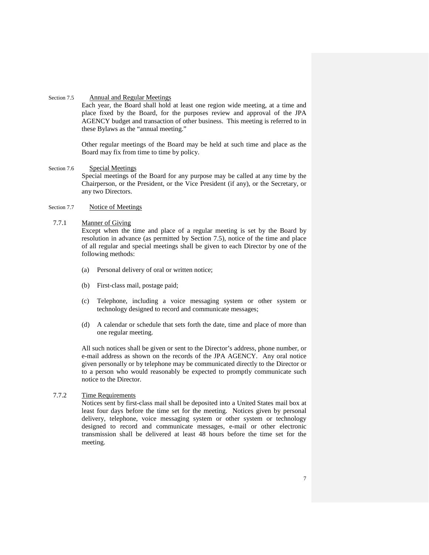#### <span id="page-7-0"></span>Section 7.5 Annual and Regular Meetings

Each year, the Board shall hold at least one region wide meeting, at a time and place fixed by the Board, for the purposes review and approval of the JPA AGENCY budget and transaction of other business. This meeting is referred to in these Bylaws as the "annual meeting."

Other regular meetings of the Board may be held at such time and place as the Board may fix from time to time by policy.

#### <span id="page-7-1"></span>Section 7.6 Special Meetings

Special meetings of the Board for any purpose may be called at any time by the Chairperson, or the President, or the Vice President (if any), or the Secretary, or any two Directors.

## <span id="page-7-2"></span>Section 7.7 Notice of Meetings

#### <span id="page-7-3"></span>7.7.1 Manner of Giving

Except when the time and place of a regular meeting is set by the Board by resolution in advance (as permitted by [Section 7.5\)](#page-7-0), notice of the time and place of all regular and special meetings shall be given to each Director by one of the following methods:

- (a) Personal delivery of oral or written notice;
- (b) First-class mail, postage paid;
- (c) Telephone, including a voice messaging system or other system or technology designed to record and communicate messages;
- (d) A calendar or schedule that sets forth the date, time and place of more than one regular meeting.

All such notices shall be given or sent to the Director's address, phone number, or e-mail address as shown on the records of the JPA AGENCY. Any oral notice given personally or by telephone may be communicated directly to the Director or to a person who would reasonably be expected to promptly communicate such notice to the Director.

# <span id="page-7-4"></span>7.7.2 Time Requirements

Notices sent by first-class mail shall be deposited into a United States mail box at least four days before the time set for the meeting. Notices given by personal delivery, telephone, voice messaging system or other system or technology designed to record and communicate messages, e-mail or other electronic transmission shall be delivered at least 48 hours before the time set for the meeting.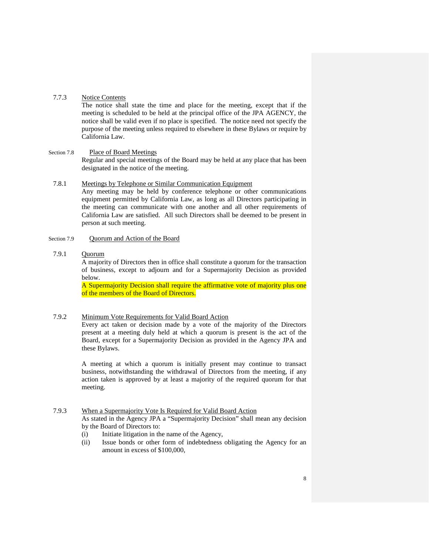#### <span id="page-8-0"></span>7.7.3 Notice Contents

The notice shall state the time and place for the meeting, except that if the meeting is scheduled to be held at the principal office of the JPA AGENCY, the notice shall be valid even if no place is specified. The notice need not specify the purpose of the meeting unless required to elsewhere in these Bylaws or require by California Law.

#### <span id="page-8-1"></span>Section 7.8 Place of Board Meetings

Regular and special meetings of the Board may be held at any place that has been designated in the notice of the meeting.

#### <span id="page-8-2"></span>7.8.1 Meetings by Telephone or Similar Communication Equipment

Any meeting may be held by conference telephone or other communications equipment permitted by California Law, as long as all Directors participating in the meeting can communicate with one another and all other requirements of California Law are satisfied. All such Directors shall be deemed to be present in person at such meeting.

# <span id="page-8-3"></span>Section 7.9 Quorum and Action of the Board

# <span id="page-8-4"></span>7.9.1 Quorum

A majority of Directors then in office shall constitute a quorum for the transaction of business, except to adjourn and for a Supermajority Decision as provided below.

A Supermajority Decision shall require the affirmative vote of majority plus one of the members of the Board of Directors.

## <span id="page-8-5"></span>7.9.2 Minimum Vote Requirements for Valid Board Action

Every act taken or decision made by a vote of the majority of the Directors present at a meeting duly held at which a quorum is present is the act of the Board, except for a Supermajority Decision as provided in the Agency JPA and these Bylaws.

A meeting at which a quorum is initially present may continue to transact business, notwithstanding the withdrawal of Directors from the meeting, if any action taken is approved by at least a majority of the required quorum for that meeting.

## <span id="page-8-6"></span>7.9.3 When a Supermajority Vote Is Required for Valid Board Action

As stated in the Agency JPA a "Supermajority Decision" shall mean any decision by the Board of Directors to:

- (i) Initiate litigation in the name of the Agency,
- (ii) Issue bonds or other form of indebtedness obligating the Agency for an amount in excess of \$100,000,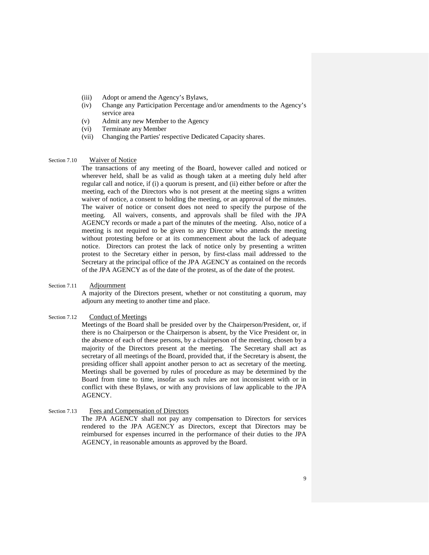- (iii) Adopt or amend the Agency's Bylaws,
- (iv) Change any Participation Percentage and/or amendments to the Agency's service area
- (v) Admit any new Member to the Agency
- (vi) Terminate any Member
- (vii) Changing the Parties' respective Dedicated Capacity shares.

#### <span id="page-9-0"></span>Section 7.10 Waiver of Notice

The transactions of any meeting of the Board, however called and noticed or wherever held, shall be as valid as though taken at a meeting duly held after regular call and notice, if (i) a quorum is present, and (ii) either before or after the meeting, each of the Directors who is not present at the meeting signs a written waiver of notice, a consent to holding the meeting, or an approval of the minutes. The waiver of notice or consent does not need to specify the purpose of the meeting. All waivers, consents, and approvals shall be filed with the JPA AGENCY records or made a part of the minutes of the meeting. Also, notice of a meeting is not required to be given to any Director who attends the meeting without protesting before or at its commencement about the lack of adequate notice. Directors can protest the lack of notice only by presenting a written protest to the Secretary either in person, by first-class mail addressed to the Secretary at the principal office of the JPA AGENCY as contained on the records of the JPA AGENCY as of the date of the protest, as of the date of the protest.

# <span id="page-9-1"></span>Section 7.11 Adjournment

A majority of the Directors present, whether or not constituting a quorum, may adjourn any meeting to another time and place.

#### <span id="page-9-2"></span>Section 7.12 Conduct of Meetings

Meetings of the Board shall be presided over by the Chairperson/President, or, if there is no Chairperson or the Chairperson is absent, by the Vice President or, in the absence of each of these persons, by a chairperson of the meeting, chosen by a majority of the Directors present at the meeting. The Secretary shall act as secretary of all meetings of the Board, provided that, if the Secretary is absent, the presiding officer shall appoint another person to act as secretary of the meeting. Meetings shall be governed by rules of procedure as may be determined by the Board from time to time, insofar as such rules are not inconsistent with or in conflict with these Bylaws, or with any provisions of law applicable to the JPA AGENCY.

#### <span id="page-9-3"></span>Section 7.13 Fees and Compensation of Directors

The JPA AGENCY shall not pay any compensation to Directors for services rendered to the JPA AGENCY as Directors, except that Directors may be reimbursed for expenses incurred in the performance of their duties to the JPA AGENCY, in reasonable amounts as approved by the Board.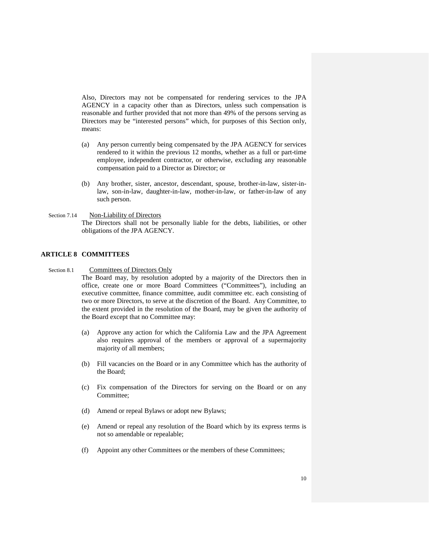Also, Directors may not be compensated for rendering services to the JPA AGENCY in a capacity other than as Directors, unless such compensation is reasonable and further provided that not more than 49% of the persons serving as Directors may be "interested persons" which, for purposes of this [Section o](#page-9-3)nly, means:

- (a) Any person currently being compensated by the JPA AGENCY for services rendered to it within the previous 12 months, whether as a full or part-time employee, independent contractor, or otherwise, excluding any reasonable compensation paid to a Director as Director; or
- (b) Any brother, sister, ancestor, descendant, spouse, brother-in-law, sister-inlaw, son-in-law, daughter-in-law, mother-in-law, or father-in-law of any such person.

<span id="page-10-0"></span>Section 7.14 Non-Liability of Directors The Directors shall not be personally liable for the debts, liabilities, or other obligations of the JPA AGENCY.

# <span id="page-10-1"></span>**ARTICLE 8 COMMITTEES**

<span id="page-10-2"></span>Section 8.1 Committees of Directors Only

The Board may, by resolution adopted by a majority of the Directors then in office, create one or more Board Committees ("Committees"), including an executive committee, finance committee, audit committee etc. each consisting of two or more Directors, to serve at the discretion of the Board. Any Committee, to the extent provided in the resolution of the Board, may be given the authority of the Board except that no Committee may:

- (a) Approve any action for which the California Law and the JPA Agreement also requires approval of the members or approval of a supermajority majority of all members;
- (b) Fill vacancies on the Board or in any Committee which has the authority of the Board;
- (c) Fix compensation of the Directors for serving on the Board or on any Committee;
- (d) Amend or repeal Bylaws or adopt new Bylaws;
- (e) Amend or repeal any resolution of the Board which by its express terms is not so amendable or repealable;
- (f) Appoint any other Committees or the members of these Committees;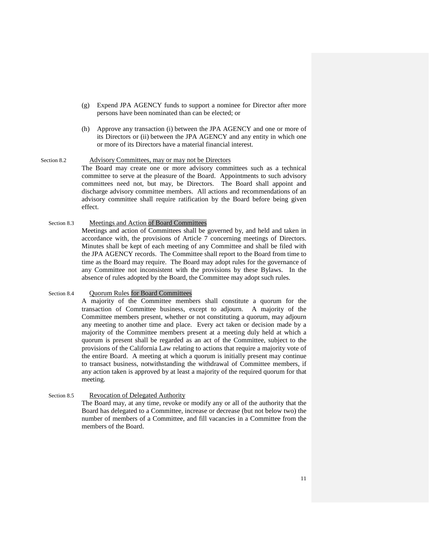- (g) Expend JPA AGENCY funds to support a nominee for Director after more persons have been nominated than can be elected; or
- (h) Approve any transaction (i) between the JPA AGENCY and one or more of its Directors or (ii) between the JPA AGENCY and any entity in which one or more of its Directors have a material financial interest.

#### <span id="page-11-0"></span>Section 8.2 Advisory Committees, may or may not be Directors

The Board may create one or more advisory committees such as a technical committee to serve at the pleasure of the Board. Appointments to such advisory committees need not, but may, be Directors. The Board shall appoint and discharge advisory committee members. All actions and recommendations of an advisory committee shall require ratification by the Board before being given effect.

## Section 8.3 Meetings and Action of Board Committees

Meetings and action of Committees shall be governed by, and held and taken in accordance with, the provisions of [Article 7](#page-5-3) concerning meetings of Directors. Minutes shall be kept of each meeting of any Committee and shall be filed with the JPA AGENCY records. The Committee shall report to the Board from time to time as the Board may require. The Board may adopt rules for the governance of any Committee not inconsistent with the provisions by these Bylaws. In the absence of rules adopted by the Board, the Committee may adopt such rules.

# <span id="page-11-1"></span>Section 8.4 Quorum Rules for Board Committees

A majority of the Committee members shall constitute a quorum for the transaction of Committee business, except to adjourn. A majority of the Committee members present, whether or not constituting a quorum, may adjourn any meeting to another time and place. Every act taken or decision made by a majority of the Committee members present at a meeting duly held at which a quorum is present shall be regarded as an act of the Committee, subject to the provisions of the California Law relating to actions that require a majority vote of the entire Board. A meeting at which a quorum is initially present may continue to transact business, notwithstanding the withdrawal of Committee members, if any action taken is approved by at least a majority of the required quorum for that meeting.

#### <span id="page-11-2"></span>Section 8.5 Revocation of Delegated Authority

The Board may, at any time, revoke or modify any or all of the authority that the Board has delegated to a Committee, increase or decrease (but not below two) the number of members of a Committee, and fill vacancies in a Committee from the members of the Board.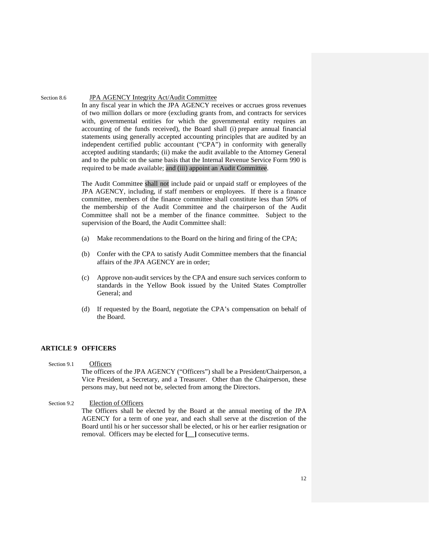#### <span id="page-12-0"></span>Section 8.6 JPA AGENCY Integrity Act/Audit Committee

In any fiscal year in which the JPA AGENCY receives or accrues gross revenues of two million dollars or more (excluding grants from, and contracts for services with, governmental entities for which the governmental entity requires an accounting of the funds received), the Board shall (i) prepare annual financial statements using generally accepted accounting principles that are audited by an independent certified public accountant ("CPA") in conformity with generally accepted auditing standards; (ii) make the audit available to the Attorney General and to the public on the same basis that the Internal Revenue Service Form 990 is required to be made available; and (iii) appoint an Audit Committee.

The Audit Committee shall not include paid or unpaid staff or employees of the JPA AGENCY, including, if staff members or employees. If there is a finance committee, members of the finance committee shall constitute less than 50% of the membership of the Audit Committee and the chairperson of the Audit Committee shall not be a member of the finance committee. Subject to the supervision of the Board, the Audit Committee shall:

- (a) Make recommendations to the Board on the hiring and firing of the CPA;
- (b) Confer with the CPA to satisfy Audit Committee members that the financial affairs of the JPA AGENCY are in order;
- (c) Approve non-audit services by the CPA and ensure such services conform to standards in the Yellow Book issued by the United States Comptroller General; and
- (d) If requested by the Board, negotiate the CPA's compensation on behalf of the Board.

# <span id="page-12-1"></span>**ARTICLE 9 OFFICERS**

<span id="page-12-2"></span>Section 9.1 Officers The officers of the JPA AGENCY ("Officers") shall be a President/Chairperson, a Vice President, a Secretary, and a Treasurer. Other than the Chairperson, these persons may, but need not be, selected from among the Directors.

<span id="page-12-3"></span>Section 9.2 Election of Officers The Officers shall be elected by the Board at the annual meeting of the JPA AGENCY for a term of one year, and each shall serve at the discretion of the Board until his or her successor shall be elected, or his or her earlier resignation or removal. Officers may be elected for **[\_\_]** consecutive terms.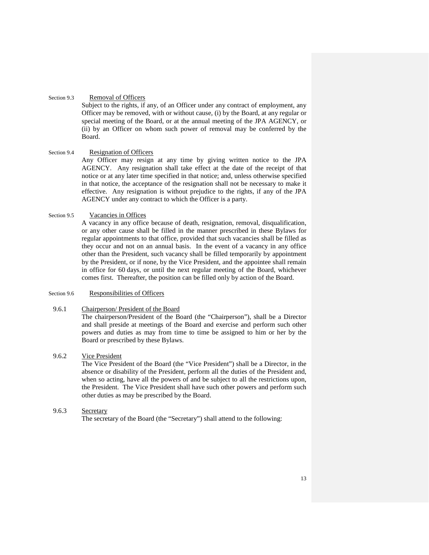# <span id="page-13-0"></span>Section 9.3 Removal of Officers

Subject to the rights, if any, of an Officer under any contract of employment, any Officer may be removed, with or without cause, (i) by the Board, at any regular or special meeting of the Board, or at the annual meeting of the JPA AGENCY, or (ii) by an Officer on whom such power of removal may be conferred by the Board.

#### <span id="page-13-1"></span>Section 9.4 Resignation of Officers

Any Officer may resign at any time by giving written notice to the JPA AGENCY. Any resignation shall take effect at the date of the receipt of that notice or at any later time specified in that notice; and, unless otherwise specified in that notice, the acceptance of the resignation shall not be necessary to make it effective. Any resignation is without prejudice to the rights, if any of the JPA AGENCY under any contract to which the Officer is a party.

### <span id="page-13-2"></span>Section 9.5 Vacancies in Offices

A vacancy in any office because of death, resignation, removal, disqualification, or any other cause shall be filled in the manner prescribed in these Bylaws for regular appointments to that office, provided that such vacancies shall be filled as they occur and not on an annual basis. In the event of a vacancy in any office other than the President, such vacancy shall be filled temporarily by appointment by the President, or if none, by the Vice President, and the appointee shall remain in office for 60 days, or until the next regular meeting of the Board, whichever comes first. Thereafter, the position can be filled only by action of the Board.

### <span id="page-13-3"></span>Section 9.6 Responsibilities of Officers

#### <span id="page-13-4"></span>9.6.1 Chairperson/ President of the Board

The chairperson/President of the Board (the "Chairperson"), shall be a Director and shall preside at meetings of the Board and exercise and perform such other powers and duties as may from time to time be assigned to him or her by the Board or prescribed by these Bylaws.

# <span id="page-13-5"></span>9.6.2 Vice President

The Vice President of the Board (the "Vice President") shall be a Director, in the absence or disability of the President, perform all the duties of the President and, when so acting, have all the powers of and be subject to all the restrictions upon, the President. The Vice President shall have such other powers and perform such other duties as may be prescribed by the Board.

## <span id="page-13-6"></span>9.6.3 Secretary

The secretary of the Board (the "Secretary") shall attend to the following: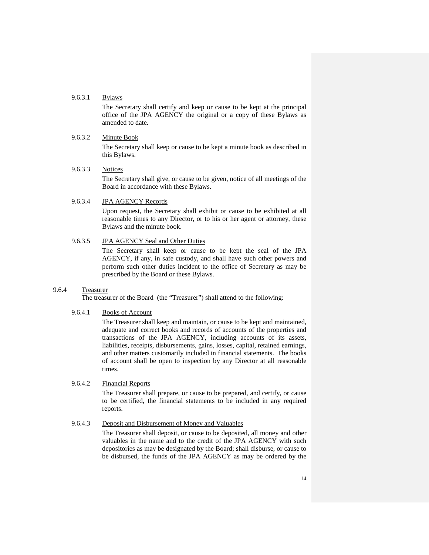## 9.6.3.1 Bylaws

The Secretary shall certify and keep or cause to be kept at the principal office of the JPA AGENCY the original or a copy of these Bylaws as amended to date.

#### 9.6.3.2 Minute Book

The Secretary shall keep or cause to be kept a minute book as described in this Bylaws.

# 9.6.3.3 Notices

The Secretary shall give, or cause to be given, notice of all meetings of the Board in accordance with these Bylaws.

# 9.6.3.4 JPA AGENCY Records

Upon request, the Secretary shall exhibit or cause to be exhibited at all reasonable times to any Director, or to his or her agent or attorney, these Bylaws and the minute book.

# 9.6.3.5 JPA AGENCY Seal and Other Duties

The Secretary shall keep or cause to be kept the seal of the JPA AGENCY, if any, in safe custody, and shall have such other powers and perform such other duties incident to the office of Secretary as may be prescribed by the Board or these Bylaws.

## <span id="page-14-0"></span>9.6.4 Treasurer

The treasurer of the Board (the "Treasurer") shall attend to the following:

## 9.6.4.1 Books of Account

The Treasurer shall keep and maintain, or cause to be kept and maintained, adequate and correct books and records of accounts of the properties and transactions of the JPA AGENCY, including accounts of its assets, liabilities, receipts, disbursements, gains, losses, capital, retained earnings, and other matters customarily included in financial statements. The books of account shall be open to inspection by any Director at all reasonable times.

# 9.6.4.2 Financial Reports

The Treasurer shall prepare, or cause to be prepared, and certify, or cause to be certified, the financial statements to be included in any required reports.

# 9.6.4.3 Deposit and Disbursement of Money and Valuables

The Treasurer shall deposit, or cause to be deposited, all money and other valuables in the name and to the credit of the JPA AGENCY with such depositories as may be designated by the Board; shall disburse, or cause to be disbursed, the funds of the JPA AGENCY as may be ordered by the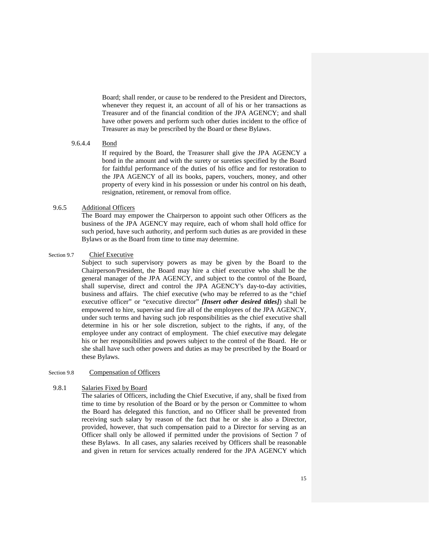Board; shall render, or cause to be rendered to the President and Directors, whenever they request it, an account of all of his or her transactions as Treasurer and of the financial condition of the JPA AGENCY; and shall have other powers and perform such other duties incident to the office of Treasurer as may be prescribed by the Board or these Bylaws.

# 9.6.4.4 Bond

If required by the Board, the Treasurer shall give the JPA AGENCY a bond in the amount and with the surety or sureties specified by the Board for faithful performance of the duties of his office and for restoration to the JPA AGENCY of all its books, papers, vouchers, money, and other property of every kind in his possession or under his control on his death, resignation, retirement, or removal from office.

# <span id="page-15-0"></span>9.6.5 Additional Officers

The Board may empower the Chairperson to appoint such other Officers as the business of the JPA AGENCY may require, each of whom shall hold office for such period, have such authority, and perform such duties as are provided in these Bylaws or as the Board from time to time may determine.

#### <span id="page-15-1"></span>Section 9.7 Chief Executive

Subject to such supervisory powers as may be given by the Board to the Chairperson/President, the Board may hire a chief executive who shall be the general manager of the JPA AGENCY, and subject to the control of the Board, shall supervise, direct and control the JPA AGENCY's day-to-day activities, business and affairs. The chief executive (who may be referred to as the "chief executive officer" or "executive director" *[Insert other desired titles]*) shall be empowered to hire, supervise and fire all of the employees of the JPA AGENCY, under such terms and having such job responsibilities as the chief executive shall determine in his or her sole discretion, subject to the rights, if any, of the employee under any contract of employment. The chief executive may delegate his or her responsibilities and powers subject to the control of the Board. He or she shall have such other powers and duties as may be prescribed by the Board or these Bylaws.

#### <span id="page-15-2"></span>Section 9.8 Compensation of Officers

# <span id="page-15-3"></span>9.8.1 Salaries Fixed by Board

The salaries of Officers, including the Chief Executive, if any, shall be fixed from time to time by resolution of the Board or by the person or Committee to whom the Board has delegated this function, and no Officer shall be prevented from receiving such salary by reason of the fact that he or she is also a Director, provided, however, that such compensation paid to a Director for serving as an Officer shall only be allowed if permitted under the provisions of [Section 7](#page-9-3) of these [Bylaws.](#page-9-3) In all cases, any salaries received by Officers shall be reasonable and given in return for services actually rendered for the JPA AGENCY which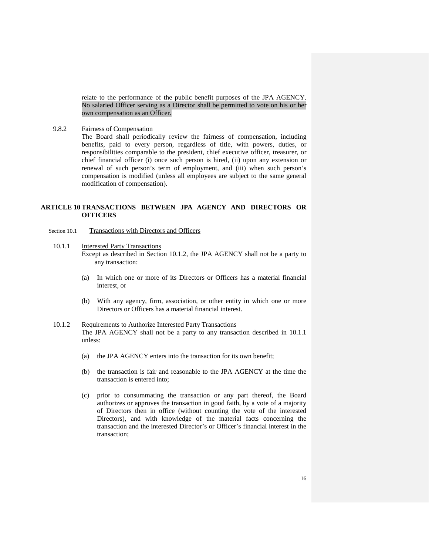relate to the performance of the public benefit purposes of the JPA AGENCY. No salaried Officer serving as a Director shall be permitted to vote on his or her own compensation as an Officer.

<span id="page-16-0"></span>9.8.2 Fairness of Compensation

The Board shall periodically review the fairness of compensation, including benefits, paid to every person, regardless of title, with powers, duties, or responsibilities comparable to the president, chief executive officer, treasurer, or chief financial officer (i) once such person is hired, (ii) upon any extension or renewal of such person's term of employment, and (iii) when such person's compensation is modified (unless all employees are subject to the same general modification of compensation).

# <span id="page-16-1"></span>**ARTICLE 10 TRANSACTIONS BETWEEN JPA AGENCY AND DIRECTORS OR OFFICERS**

- <span id="page-16-4"></span><span id="page-16-3"></span><span id="page-16-2"></span>Section 10.1 Transactions with Directors and Officers
	- 10.1.1 Interested Party Transactions
		- Except as described in Section [10.1.2,](#page-16-4) the JPA AGENCY shall not be a party to any transaction:
			- (a) In which one or more of its Directors or Officers has a material financial interest, or
			- (b) With any agency, firm, association, or other entity in which one or more Directors or Officers has a material financial interest.
	- 10.1.2 Requirements to Authorize Interested Party Transactions The JPA AGENCY shall not be a party to any transaction described in [10.1.1](#page-16-3) unless:
		- (a) the JPA AGENCY enters into the transaction for its own benefit;
		- (b) the transaction is fair and reasonable to the JPA AGENCY at the time the transaction is entered into;
		- (c) prior to consummating the transaction or any part thereof, the Board authorizes or approves the transaction in good faith, by a vote of a majority of Directors then in office (without counting the vote of the interested Directors), and with knowledge of the material facts concerning the transaction and the interested Director's or Officer's financial interest in the transaction;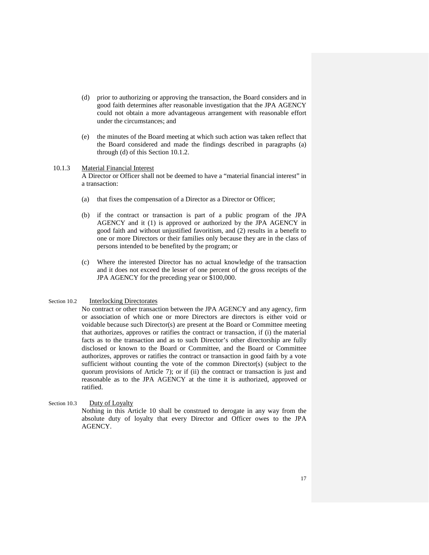- (d) prior to authorizing or approving the transaction, the Board considers and in good faith determines after reasonable investigation that the JPA AGENCY could not obtain a more advantageous arrangement with reasonable effort under the circumstances; and
- (e) the minutes of the Board meeting at which such action was taken reflect that the Board considered and made the findings described in paragraphs (a) through (d) of this Section [10.1.2.](#page-16-4)

#### <span id="page-17-0"></span>10.1.3 Material Financial Interest

A Director or Officer shall not be deemed to have a "material financial interest" in a transaction:

- (a) that fixes the compensation of a Director as a Director or Officer;
- (b) if the contract or transaction is part of a public program of the JPA AGENCY and it (1) is approved or authorized by the JPA AGENCY in good faith and without unjustified favoritism, and (2) results in a benefit to one or more Directors or their families only because they are in the class of persons intended to be benefited by the program; or
- (c) Where the interested Director has no actual knowledge of the transaction and it does not exceed the lesser of one percent of the gross receipts of the JPA AGENCY for the preceding year or \$100,000.

# <span id="page-17-1"></span>Section 10.2 Interlocking Directorates

No contract or other transaction between the JPA AGENCY and any agency, firm or association of which one or more Directors are directors is either void or voidable because such Director(s) are present at the Board or Committee meeting that authorizes, approves or ratifies the contract or transaction, if (i) the material facts as to the transaction and as to such Director's other directorship are fully disclosed or known to the Board or Committee, and the Board or Committee authorizes, approves or ratifies the contract or transaction in good faith by a vote sufficient without counting the vote of the common Director(s) (subject to the quorum provisions of [Article 7\)](#page-5-3); or if (ii) the contract or transaction is just and reasonable as to the JPA AGENCY at the time it is authorized, approved or ratified.

<span id="page-17-2"></span>Section 10.3 Duty of Loyalty

Nothing in this Article 10 shall be construed to derogate in any way from the absolute duty of loyalty that every Director and Officer owes to the JPA AGENCY.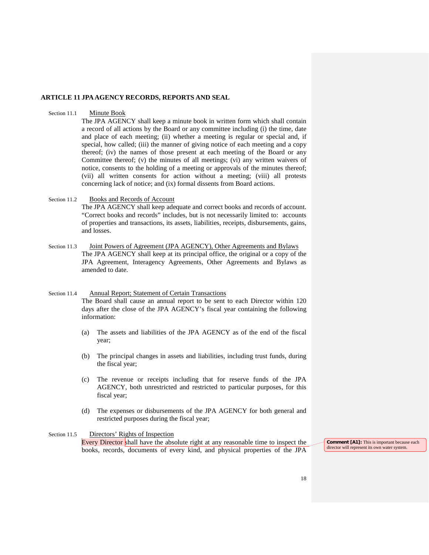#### <span id="page-18-0"></span>**ARTICLE 11 JPA AGENCY RECORDS, REPORTS AND SEAL**

#### <span id="page-18-1"></span>Section 11.1 Minute Book

The JPA AGENCY shall keep a minute book in written form which shall contain a record of all actions by the Board or any committee including (i) the time, date and place of each meeting; (ii) whether a meeting is regular or special and, if special, how called; (iii) the manner of giving notice of each meeting and a copy thereof; (iv) the names of those present at each meeting of the Board or any Committee thereof; (v) the minutes of all meetings; (vi) any written waivers of notice, consents to the holding of a meeting or approvals of the minutes thereof; (vii) all written consents for action without a meeting; (viii) all protests concerning lack of notice; and (ix) formal dissents from Board actions.

# <span id="page-18-2"></span>Section 11.2 Books and Records of Account

The JPA AGENCY shall keep adequate and correct books and records of account. "Correct books and records" includes, but is not necessarily limited to: accounts of properties and transactions, its assets, liabilities, receipts, disbursements, gains, and losses.

<span id="page-18-3"></span>Section 11.3 Joint Powers of Agreement (JPA AGENCY), Other Agreements and Bylaws The JPA AGENCY shall keep at its principal office, the original or a copy of the JPA Agreement, Interagency Agreements, Other Agreements and Bylaws as amended to date.

### <span id="page-18-4"></span>Section 11.4 Annual Report; Statement of Certain Transactions

The Board shall cause an annual report to be sent to each Director within 120 days after the close of the JPA AGENCY's fiscal year containing the following information:

- (a) The assets and liabilities of the JPA AGENCY as of the end of the fiscal year;
- (b) The principal changes in assets and liabilities, including trust funds, during the fiscal year;
- (c) The revenue or receipts including that for reserve funds of the JPA AGENCY, both unrestricted and restricted to particular purposes, for this fiscal year;
- (d) The expenses or disbursements of the JPA AGENCY for both general and restricted purposes during the fiscal year;

## <span id="page-18-5"></span>Section 11.5 Directors' Rights of Inspection

Every Director shall have the absolute right at any reasonable time to inspect the books, records, documents of every kind, and physical properties of the JPA **Comment [A1]:** This is important because each director will represent its own water system.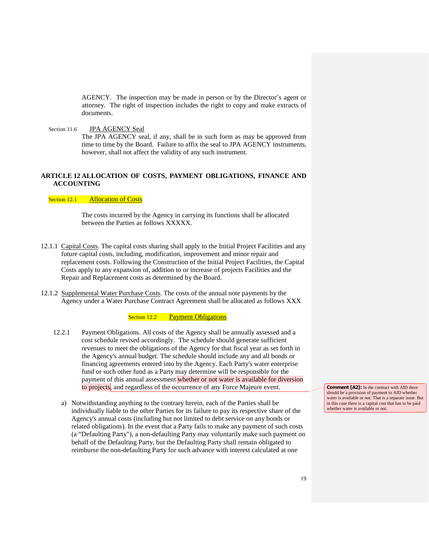AGENCY. The inspection may be made in person or by the Director's agent or attorney. The right of inspection includes the right to copy and make extracts of documents.

<span id="page-19-0"></span>Section 11.6 JPA AGENCY Seal

The JPA AGENCY seal, if any, shall be in such form as may be approved from time to time by the Board. Failure to affix the seal to JPA AGENCY instruments, however, shall not affect the validity of any such instrument.

# **ARTICLE 12 ALLOCATION OF COSTS, PAYMENT OBLIGATIONS, FINANCE AND ACCOUNTING**

<span id="page-19-1"></span>Section 12.1 Allocation of Costs

The costs incurred by the Agency in carrying its functions shall be allocated between the Parties as follows XXXXX.

- 12.1.1 Capital Costs. The capital costs sharing shall apply to the Initial Project Facilities and any future capital costs, including, modification, improvement and minor repair and replacement costs. Following the Construction of the Initial Project Facilities, the Capital Costs apply to any expansion of, addition to or increase of projects Facilities and the Repair and Replacement costs as determined by the Board.
- 12.1.2 Supplemental Water Purchase Costs. The costs of the annual note payments by the Agency under a Water Purchase Contract Agreement shall be allocated as follows XXX

Section 12.2 Payment Obligations

- 12.2.1 Payment Obligations. All costs of the Agency shall be annually assessed and a cost schedule revised accordingly. The schedule should generate sufficient revenues to meet the obligations of the Agency for that fiscal year as set forth in the Agency's annual budget. The schedule should include any and all bonds or financing agreements entered into by the Agency. Each Party's water enterprise fund or such other fund as a Party may determine will be responsible for the payment of this annual assessment whether or not water is available for diversion to projects, and regardless of the occurrence of any Force Majeure event.
	- a) Notwithstanding anything to the contrary herein, each of the Parties shall be individually liable to the other Parties for its failure to pay its respective share of the Agency's annual costs (including but not limited to debt service on any bonds or related obligations). In the event that a Party fails to make any payment of such costs (a "Defaulting Party"), a non-defaulting Party may voluntarily make such payment on behalf of the Defaulting Party, but the Defaulting Party shall remain obligated to reimburse the non-defaulting Party for such advance with interest calculated at one

**Comment [A2]:** In the contract with AID there should be a provision of payment to AID whether water is available or not. That is a separate issue. But in this case there is a capital cost that has to be paid whether water is available or not.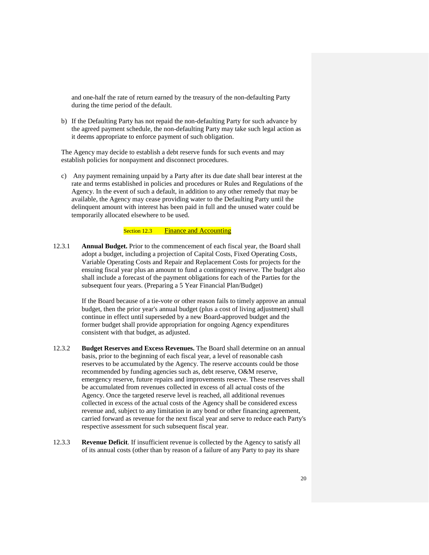and one-half the rate of return earned by the treasury of the non-defaulting Party during the time period of the default.

b) If the Defaulting Party has not repaid the non-defaulting Party for such advance by the agreed payment schedule, the non-defaulting Party may take such legal action as it deems appropriate to enforce payment of such obligation.

The Agency may decide to establish a debt reserve funds for such events and may establish policies for nonpayment and disconnect procedures.

c) Any payment remaining unpaid by a Party after its due date shall bear interest at the rate and terms established in policies and procedures or Rules and Regulations of the Agency. In the event of such a default, in addition to any other remedy that may be available, the Agency may cease providing water to the Defaulting Party until the delinquent amount with interest has been paid in full and the unused water could be temporarily allocated elsewhere to be used.

# Section 12.3 Finance and Accounting

12.3.1 **Annual Budget.** Prior to the commencement of each fiscal year, the Board shall adopt a budget, including a projection of Capital Costs, Fixed Operating Costs, Variable Operating Costs and Repair and Replacement Costs for projects for the ensuing fiscal year plus an amount to fund a contingency reserve. The budget also shall include a forecast of the payment obligations for each of the Parties for the subsequent four years. (Preparing a 5 Year Financial Plan/Budget)

> If the Board because of a tie-vote or other reason fails to timely approve an annual budget, then the prior year's annual budget (plus a cost of living adjustment) shall continue in effect until superseded by a new Board-approved budget and the former budget shall provide appropriation for ongoing Agency expenditures consistent with that budget, as adjusted.

- 12.3.2 **Budget Reserves and Excess Revenues.** The Board shall determine on an annual basis, prior to the beginning of each fiscal year, a level of reasonable cash reserves to be accumulated by the Agency. The reserve accounts could be those recommended by funding agencies such as, debt reserve, O&M reserve, emergency reserve, future repairs and improvements reserve. These reserves shall be accumulated from revenues collected in excess of all actual costs of the Agency. Once the targeted reserve level is reached, all additional revenues collected in excess of the actual costs of the Agency shall be considered excess revenue and, subject to any limitation in any bond or other financing agreement, carried forward as revenue for the next fiscal year and serve to reduce each Party's respective assessment for such subsequent fiscal year.
- 12.3.3 **Revenue Deficit**. If insufficient revenue is collected by the Agency to satisfy all of its annual costs (other than by reason of a failure of any Party to pay its share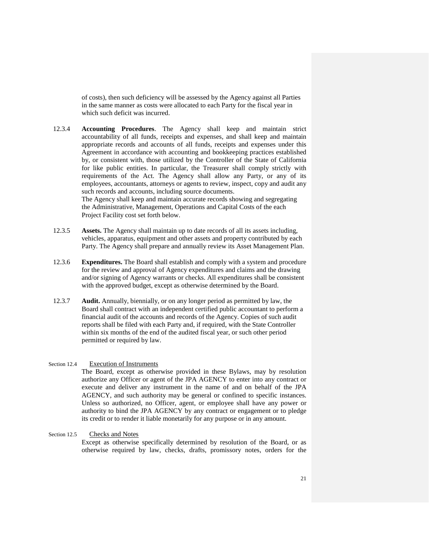of costs), then such deficiency will be assessed by the Agency against all Parties in the same manner as costs were allocated to each Party for the fiscal year in which such deficit was incurred.

12.3.4 **Accounting Procedures**. The Agency shall keep and maintain strict accountability of all funds, receipts and expenses, and shall keep and maintain appropriate records and accounts of all funds, receipts and expenses under this Agreement in accordance with accounting and bookkeeping practices established by, or consistent with, those utilized by the Controller of the State of California for like public entities. In particular, the Treasurer shall comply strictly with requirements of the Act. The Agency shall allow any Party, or any of its employees, accountants, attorneys or agents to review, inspect, copy and audit any such records and accounts, including source documents. The Agency shall keep and maintain accurate records showing and segregating the Administrative, Management, Operations and Capital Costs of the each

Project Facility cost set forth below.

- 12.3.5 **Assets.** The Agency shall maintain up to date records of all its assets including, vehicles, apparatus, equipment and other assets and property contributed by each Party. The Agency shall prepare and annually review its Asset Management Plan.
- 12.3.6 **Expenditures.** The Board shall establish and comply with a system and procedure for the review and approval of Agency expenditures and claims and the drawing and/or signing of Agency warrants or checks. All expenditures shall be consistent with the approved budget, except as otherwise determined by the Board.
- 12.3.7 **Audit.** Annually, biennially, or on any longer period as permitted by law, the Board shall contract with an independent certified public accountant to perform a financial audit of the accounts and records of the Agency. Copies of such audit reports shall be filed with each Party and, if required, with the State Controller within six months of the end of the audited fiscal year, or such other period permitted or required by law.

#### Section 12.4 Execution of Instruments

The Board, except as otherwise provided in these Bylaws, may by resolution authorize any Officer or agent of the JPA AGENCY to enter into any contract or execute and deliver any instrument in the name of and on behalf of the JPA AGENCY, and such authority may be general or confined to specific instances. Unless so authorized, no Officer, agent, or employee shall have any power or authority to bind the JPA AGENCY by any contract or engagement or to pledge its credit or to render it liable monetarily for any purpose or in any amount.

#### <span id="page-21-0"></span>Section 12.5 Checks and Notes

Except as otherwise specifically determined by resolution of the Board, or as otherwise required by law, checks, drafts, promissory notes, orders for the